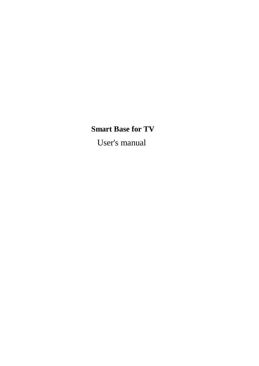# **Smart Base for TV**

User's manual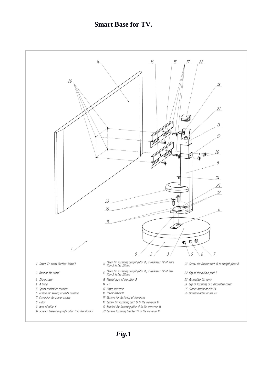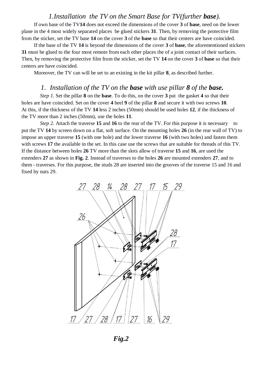## *1.Installation the TV on the Smart Base for TV(further base).*

If own base of the TV**14** does not exceed the dimensions of the cover **3** of **base**, need on the lower plane in the 4 most widely separated places be glued stickers **31**. Then, by removing the protective film from the sticker, set the TV base **14** on the cover **3** of the **base** so that their centers are have coincided.

If the base of the TV **14** is beyond the dimensions of the cover **3** of **base**, the aforementioned stickers **31** must be glued to the four most remote from each other places the of a joint contact of their surfaces. Then, by removing the protective film from the sticker, set the TV **14** on the cover **3** of **base** so that their centers are have coincided.

Moreover, the TV can will be set to an existing in the kit pillar **8**, as described further.

### *1. Installation of the TV on the base with use pillar 8 of the base.*

*Step 1.* Set the pillar **8** on the **base**. To do this, on the cover **3** put the gasket **4** so that their holes are have coincided. Set on the cover **4** heel **9** of the pillar **8** and secure it with two screws **10**. At this, if the thickness of the TV **14** less 2 inches (50mm) should be used holes **12**, if the thickness of the TV more than 2 inches (50mm), use the holes **11**.

*Step 2.* Attach the traverse **15** and **16** to the rear of the TV. For this purpose it is necessary to put the TV **14** by screen down on a flat, soft surface. On the mounting holes **26** (in the rear wall of TV) to impose an upper traverse **15** (with one hole) and the lower traverse **16** (with two holes) and fasten them with screws 17 the available in the set. In this case use the screws that are suitable for threads of this TV. If the distance between holes **26** TV more than the slots allow of traverse **15** and **16**, are used the extenders **27** as shown in **Fig. 2**. Instead of traverses to the holes **26** are mounted extenders **27**, and to them - traverses. For this purpose, the studs 28 are inserted into the grooves of the traverse 15 and 16 and fixed by nuts 29.



 *Fig.2*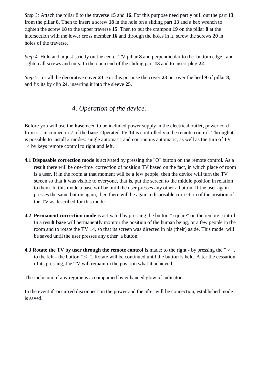*Step 3:* Attach the pillar 8 to the traverse **15** and **16**. For this purpose need partly pull out the part **13** from the pillar **8**. Then to insert a screw **18** in the hole on a sliding part **13** and a hex wrench to tighten the screw **18** to the upper traverse **15**. Then to put the crampon **19** on the pillar **8** at the intersection with the lower cross member **16** and through the holes in it, screw the screws **20** in holes of the traverse.

*Step 4.* Hold and adjust strictly on the center TV pillar **8** and perpendicular to the bottom edge , and tighten all screws and nuts. In the open end of the sliding part **13** and to insert plug **22**.

*Step 5.* Install the decorative cover **23**. For this purpose the cover **23** put over the heel **9** of pillar **8**, and fix its by clip **24**, inserting it into the sleeve **25**.

# *4. Operation of the device.*

Before you will use the **base** need to be included power supply in the electrical outlet, power cord from it - in connector 7 of the **base**. Operated TV 14 is controlled via the remote control. Through it is possible to install 2 modes: single automatic and continuous automatic, as well as the turn of TV 14 by keys remote control to right and left.

- **4.1 Disposable correction mode** is activated by pressing the "O" button on the remote control. As a result there will be one-time correction of position TV based on the fact, in which place of room is a user. If in the room at that moment will be a few people, then the device will turn the TV screen so that it was visible to everyone, that is, put the screen to the middle position in relation to them. In this mode a base will be until the user presses any other a button. If the user again presses the same button again, then there will be again a disposable correction of the position of the TV as described for this mode.
- **4.2 Permanent correction mode** is activated by pressing the button " square" on the remote control. In a result **base** will permanently monitor the position of the human being, or a few people in the room and to rotate the TV 14, so that its screen was directed in his (their) aside. This mode will be saved until the user presses any other a button.
- **4.3 Rotate the TV by user through the remote control** is made: to the right by pressing the " > ", to the left - the button " < ". Rotate will be continued until the button is held. After the cessation of its pressing, the TV will remain in the position what it achieved.

The inclusion of any regime is accompanied by enhanced glow of indicator.

In the event if occurred disconnection the power and the after will be connection, established mode is saved.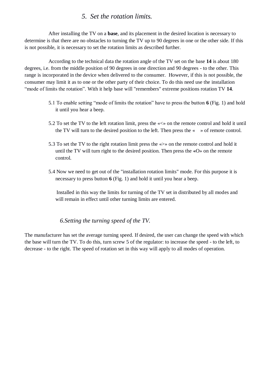## *5. Set the rotation limits.*

After installing the TV on a **base**, and its placement in the desired location is necessary to determine is that there are no obstacles to turning the TV up to 90 degrees in one or the other side. If this is not possible, it is necessary to set the rotation limits as described further.

According to the technical data the rotation angle of the TV set on the base **14** is about 180 degrees, i.e. from the middle position of 90 degrees in one direction and 90 degrees - to the other. This range is incorporated in the device when delivered to the consumer. However, if this is not possible, the consumer may limit it as to one or the other party of their choice. To do this need use the installation "mode of limits the rotation". With it help base will "remembers" extreme positions rotation TV **14**.

- 5.1 To enable setting "mode of limits the rotation" have to press the button **6** (Fig. 1) and hold it until you hear a beep.
- 5.2 To set the TV to the left rotation limit, press the «<» on the remote control and hold it until the TV will turn to the desired position to the left. Then press the « » of remote control.
- 5.3 To set the TV to the right rotation limit press the «>» on the remote control and hold it until the TV will turn right to the desired position. Then press the **«**O» on the remote control.
- 5.4 Now we need to get out of the "installation rotation limits" mode. For this purpose it is necessary to press button **6** (Fig. 1) and hold it until you hear a beep.

 Installed in this way the limits for turning of the TV set in distributed by all modes and will remain in effect until other turning limits are entered.

#### *6.Setting the turning speed of the TV.*

The manufacturer has set the average turning speed. If desired, the user can change the speed with which the base will turn the TV. To do this, turn screw 5 of the regulator: to increase the speed - to the left, to decrease - to the right. The speed of rotation set in this way will apply to all modes of operation.